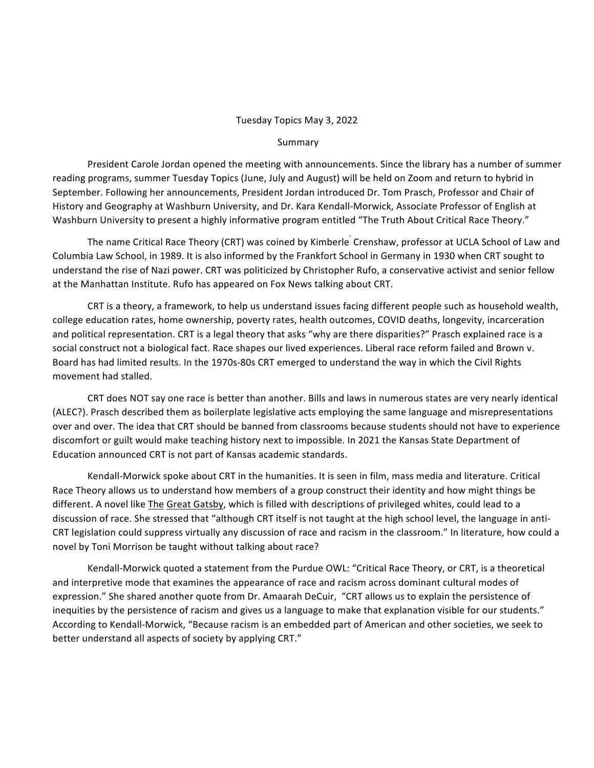## Tuesday Topics May 3, 2022

## Summary

President Carole Jordan opened the meeting with announcements. Since the library has a number of summer reading programs, summer Tuesday Topics (June, July and August) will be held on Zoom and return to hybrid in September. Following her announcements, President Jordan introduced Dr. Tom Prasch, Professor and Chair of History and Geography at Washburn University, and Dr. Kara Kendall-Morwick, Associate Professor of English at Washburn University to present a highly informative program entitled "The Truth About Critical Race Theory."

The name Critical Race Theory (CRT) was coined by Kimberle<sup>'</sup> Crenshaw, professor at UCLA School of Law and Columbia Law School, in 1989. It is also informed by the Frankfort School in Germany in 1930 when CRT sought to understand the rise of Nazi power. CRT was politicized by Christopher Rufo, a conservative activist and senior fellow at the Manhattan Institute. Rufo has appeared on Fox News talking about CRT.

CRT is a theory, a framework, to help us understand issues facing different people such as household wealth, college education rates, home ownership, poverty rates, health outcomes, COVID deaths, longevity, incarceration and political representation. CRT is a legal theory that asks "why are there disparities?" Prasch explained race is a social construct not a biological fact. Race shapes our lived experiences. Liberal race reform failed and Brown v. Board has had limited results. In the 1970s-80s CRT emerged to understand the way in which the Civil Rights movement had stalled.

CRT does NOT say one race is better than another. Bills and laws in numerous states are very nearly identical (ALEC?). Prasch described them as boilerplate legislative acts employing the same language and misrepresentations over and over. The idea that CRT should be banned from classrooms because students should not have to experience discomfort or guilt would make teaching history next to impossible. In 2021 the Kansas State Department of Education announced CRT is not part of Kansas academic standards.

Kendall-Morwick spoke about CRT in the humanities. It is seen in film, mass media and literature. Critical Race Theory allows us to understand how members of a group construct their identity and how might things be different. A novel like *The Great Gatsby*, which is filled with descriptions of privileged whites, could lead to a discussion of race. She stressed that "although CRT itself is not taught at the high school level, the language in anti-CRT legislation could suppress virtually any discussion of race and racism in the classroom." In literature, how could a novel by Toni Morrison be taught without talking about race?

Kendall-Morwick quoted a statement from the Purdue OWL: "Critical Race Theory, or CRT, is a theoretical and interpretive mode that examines the appearance of race and racism across dominant cultural modes of expression." She shared another quote from Dr. Amaarah DeCuir, "CRT allows us to explain the persistence of inequities by the persistence of racism and gives us a language to make that explanation visible for our students." According to Kendall-Morwick, "Because racism is an embedded part of American and other societies, we seek to better understand all aspects of society by applying CRT."